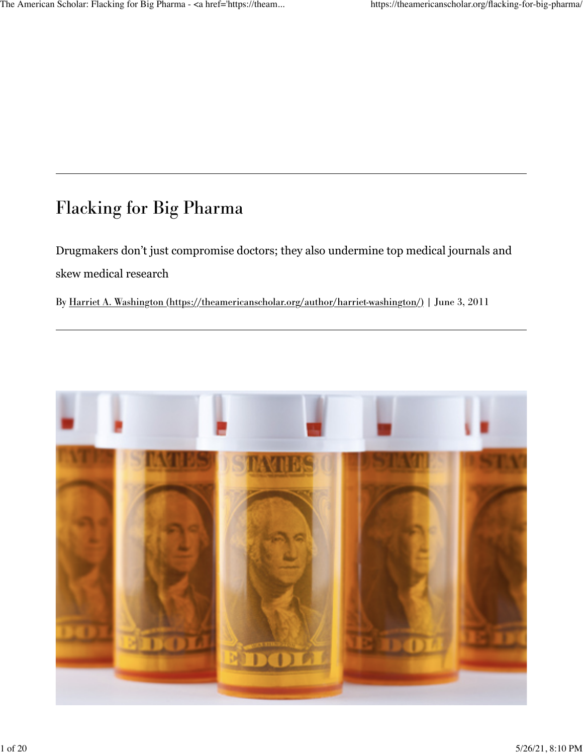## Flacking for Big Pharma

Drugmakers don't just compromise doctors; they also undermine top medical journals and skew medical research

By Harriet A. Washington (https://theamericanscholar.org/author/harriet-washington/) | June 3, 2011

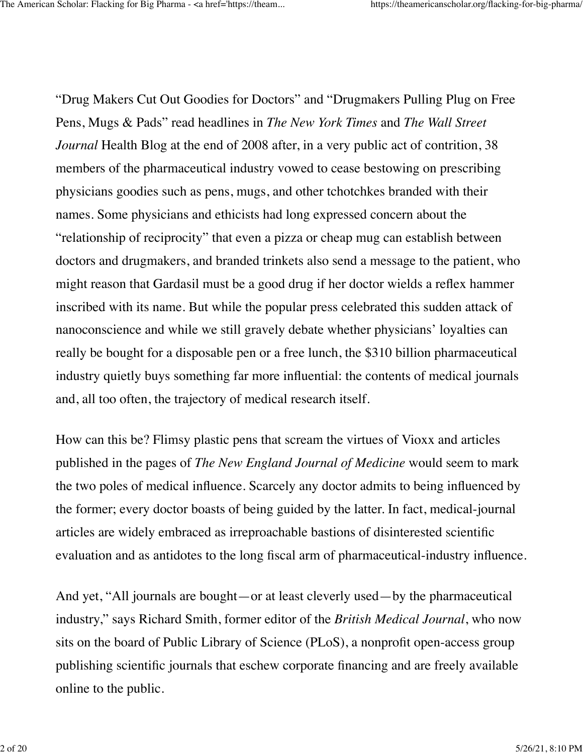"Drug Makers Cut Out Goodies for Doctors" and "Drugmakers Pulling Plug on Free Pens, Mugs & Pads" read headlines in *The New York Times* and *The Wall Street Journal* Health Blog at the end of 2008 after, in a very public act of contrition, 38 members of the pharmaceutical industry vowed to cease bestowing on prescribing physicians goodies such as pens, mugs, and other tchotchkes branded with their names. Some physicians and ethicists had long expressed concern about the "relationship of reciprocity" that even a pizza or cheap mug can establish between doctors and drugmakers, and branded trinkets also send a message to the patient, who might reason that Gardasil must be a good drug if her doctor wields a reflex hammer inscribed with its name. But while the popular press celebrated this sudden attack of nanoconscience and while we still gravely debate whether physicians' loyalties can really be bought for a disposable pen or a free lunch, the \$310 billion pharmaceutical industry quietly buys something far more influential: the contents of medical journals and, all too often, the trajectory of medical research itself.

How can this be? Flimsy plastic pens that scream the virtues of Vioxx and articles published in the pages of *The New England Journal of Medicine* would seem to mark the two poles of medical influence. Scarcely any doctor admits to being influenced by the former; every doctor boasts of being guided by the latter. In fact, medical-journal articles are widely embraced as irreproachable bastions of disinterested scientific evaluation and as antidotes to the long fiscal arm of pharmaceutical-industry influence.

And yet, "All journals are bought—or at least cleverly used—by the pharmaceutical industry," says Richard Smith, former editor of the *British Medical Journal*, who now sits on the board of Public Library of Science (PLoS), a nonprofit open-access group publishing scientific journals that eschew corporate financing and are freely available online to the public.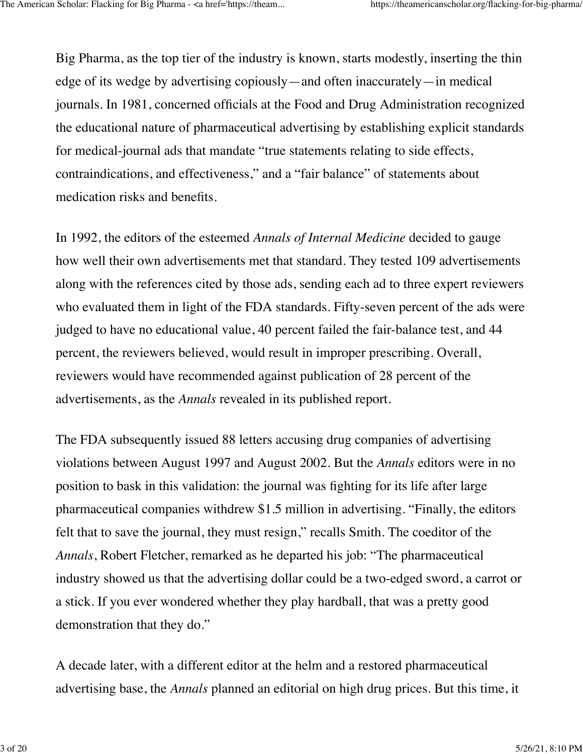Big Pharma, as the top tier of the industry is known, starts modestly, inserting the thin edge of its wedge by advertising copiously—and often inaccurately—in medical journals. In 1981, concerned officials at the Food and Drug Administration recognized the educational nature of pharmaceutical advertising by establishing explicit standards for medical-journal ads that mandate "true statements relating to side effects, contraindications, and effectiveness," and a "fair balance" of statements about medication risks and benefits.

In 1992, the editors of the esteemed *Annals of Internal Medicine* decided to gauge how well their own advertisements met that standard. They tested 109 advertisements along with the references cited by those ads, sending each ad to three expert reviewers who evaluated them in light of the FDA standards. Fifty-seven percent of the ads were judged to have no educational value, 40 percent failed the fair-balance test, and 44 percent, the reviewers believed, would result in improper prescribing. Overall, reviewers would have recommended against publication of 28 percent of the advertisements, as the *Annals* revealed in its published report.

The FDA subsequently issued 88 letters accusing drug companies of advertising violations between August 1997 and August 2002. But the *Annals* editors were in no position to bask in this validation: the journal was fighting for its life after large pharmaceutical companies withdrew \$1.5 million in advertising. "Finally, the editors felt that to save the journal, they must resign," recalls Smith. The coeditor of the *Annals*, Robert Fletcher, remarked as he departed his job: "The pharmaceutical industry showed us that the advertising dollar could be a two-edged sword, a carrot or a stick. If you ever wondered whether they play hardball, that was a pretty good demonstration that they do."

A decade later, with a different editor at the helm and a restored pharmaceutical advertising base, the *Annals* planned an editorial on high drug prices. But this time, it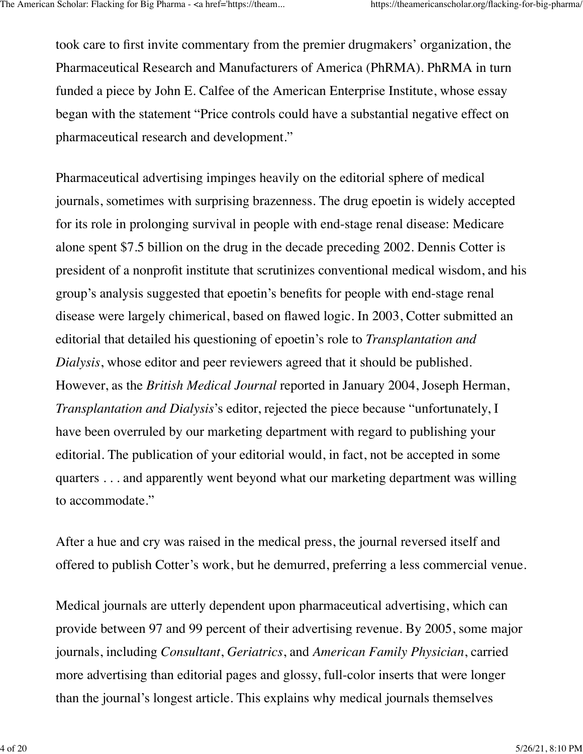took care to first invite commentary from the premier drugmakers' organization, the Pharmaceutical Research and Manufacturers of America (PhRMA). PhRMA in turn funded a piece by John E. Calfee of the American Enterprise Institute, whose essay began with the statement "Price controls could have a substantial negative effect on pharmaceutical research and development."

Pharmaceutical advertising impinges heavily on the editorial sphere of medical journals, sometimes with surprising brazenness. The drug epoetin is widely accepted for its role in prolonging survival in people with end-stage renal disease: Medicare alone spent \$7.5 billion on the drug in the decade preceding 2002. Dennis Cotter is president of a nonprofit institute that scrutinizes conventional medical wisdom, and his group's analysis suggested that epoetin's benefits for people with end-stage renal disease were largely chimerical, based on flawed logic. In 2003, Cotter submitted an editorial that detailed his questioning of epoetin's role to *Transplantation and Dialysis*, whose editor and peer reviewers agreed that it should be published. However, as the *British Medical Journal* reported in January 2004, Joseph Herman, *Transplantation and Dialysis*'s editor, rejected the piece because "unfortunately, I have been overruled by our marketing department with regard to publishing your editorial. The publication of your editorial would, in fact, not be accepted in some quarters . . . and apparently went beyond what our marketing department was willing to accommodate."

After a hue and cry was raised in the medical press, the journal reversed itself and offered to publish Cotter's work, but he demurred, preferring a less commercial venue.

Medical journals are utterly dependent upon pharmaceutical advertising, which can provide between 97 and 99 percent of their advertising revenue. By 2005, some major journals, including *Consultant*, *Geriatrics*, and *American Family Physician*, carried more advertising than editorial pages and glossy, full-color inserts that were longer than the journal's longest article. This explains why medical journals themselves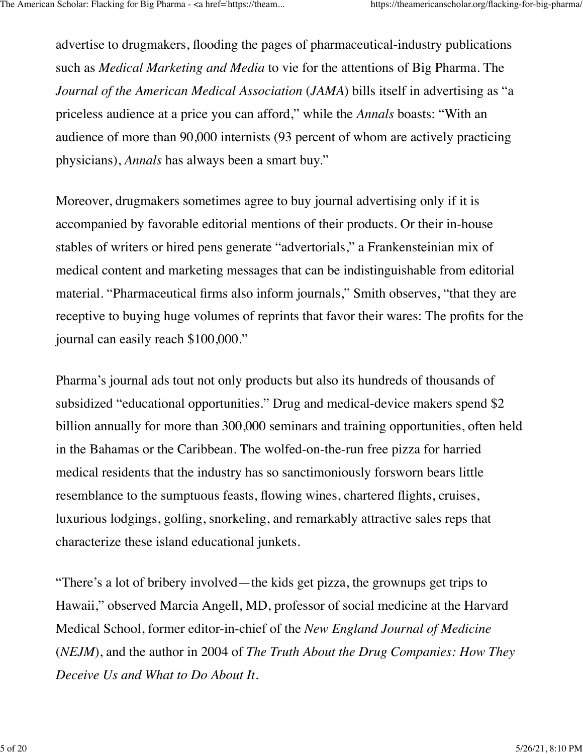advertise to drugmakers, flooding the pages of pharmaceutical-industry publications such as *Medical Marketing and Media* to vie for the attentions of Big Pharma. The *Journal of the American Medical Association* (*JAMA*) bills itself in advertising as "a priceless audience at a price you can afford," while the *Annals* boasts: "With an audience of more than 90,000 internists (93 percent of whom are actively practicing physicians), *Annals* has always been a smart buy."

Moreover, drugmakers sometimes agree to buy journal advertising only if it is accompanied by favorable editorial mentions of their products. Or their in-house stables of writers or hired pens generate "advertorials," a Frankensteinian mix of medical content and marketing messages that can be indistinguishable from editorial material. "Pharmaceutical firms also inform journals," Smith observes, "that they are receptive to buying huge volumes of reprints that favor their wares: The profits for the journal can easily reach \$100,000."

Pharma's journal ads tout not only products but also its hundreds of thousands of subsidized "educational opportunities." Drug and medical-device makers spend \$2 billion annually for more than 300,000 seminars and training opportunities, often held in the Bahamas or the Caribbean. The wolfed-on-the-run free pizza for harried medical residents that the industry has so sanctimoniously forsworn bears little resemblance to the sumptuous feasts, flowing wines, chartered flights, cruises, luxurious lodgings, golfing, snorkeling, and remarkably attractive sales reps that characterize these island educational junkets.

"There's a lot of bribery involved—the kids get pizza, the grownups get trips to Hawaii," observed Marcia Angell, MD, professor of social medicine at the Harvard Medical School, former editor-in-chief of the *New England Journal of Medicine* (*NEJM*), and the author in 2004 of *The Truth About the Drug Companies: How They Deceive Us and What to Do About It*.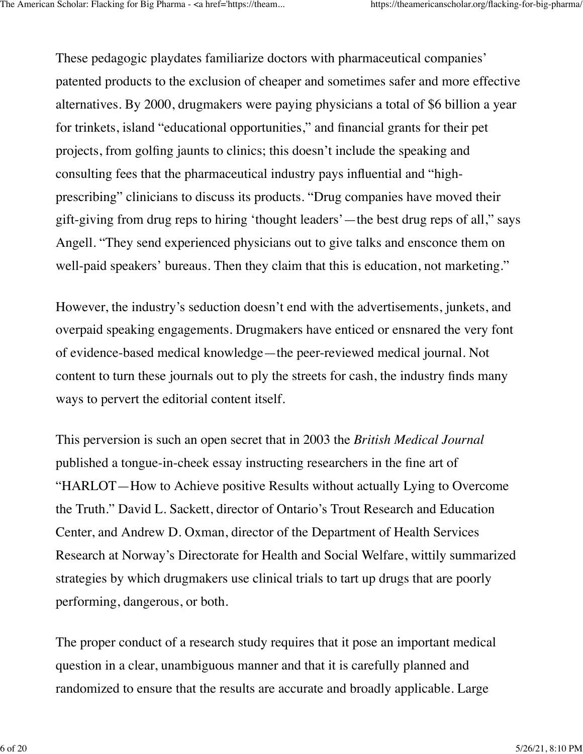These pedagogic playdates familiarize doctors with pharmaceutical companies' patented products to the exclusion of cheaper and sometimes safer and more effective alternatives. By 2000, drugmakers were paying physicians a total of \$6 billion a year for trinkets, island "educational opportunities," and financial grants for their pet projects, from golfing jaunts to clinics; this doesn't include the speaking and consulting fees that the pharmaceutical industry pays influential and "highprescribing" clinicians to discuss its products. "Drug companies have moved their gift-giving from drug reps to hiring 'thought leaders'—the best drug reps of all," says Angell. "They send experienced physicians out to give talks and ensconce them on well-paid speakers' bureaus. Then they claim that this is education, not marketing."

However, the industry's seduction doesn't end with the advertisements, junkets, and overpaid speaking engagements. Drugmakers have enticed or ensnared the very font of evidence-based medical knowledge—the peer-reviewed medical journal. Not content to turn these journals out to ply the streets for cash, the industry finds many ways to pervert the editorial content itself.

This perversion is such an open secret that in 2003 the *British Medical Journal* published a tongue-in-cheek essay instructing researchers in the fine art of "HARLOT—How to Achieve positive Results without actually Lying to Overcome the Truth." David L. Sackett, director of Ontario's Trout Research and Education Center, and Andrew D. Oxman, director of the Department of Health Services Research at Norway's Directorate for Health and Social Welfare, wittily summarized strategies by which drugmakers use clinical trials to tart up drugs that are poorly performing, dangerous, or both.

The proper conduct of a research study requires that it pose an important medical question in a clear, unambiguous manner and that it is carefully planned and randomized to ensure that the results are accurate and broadly applicable. Large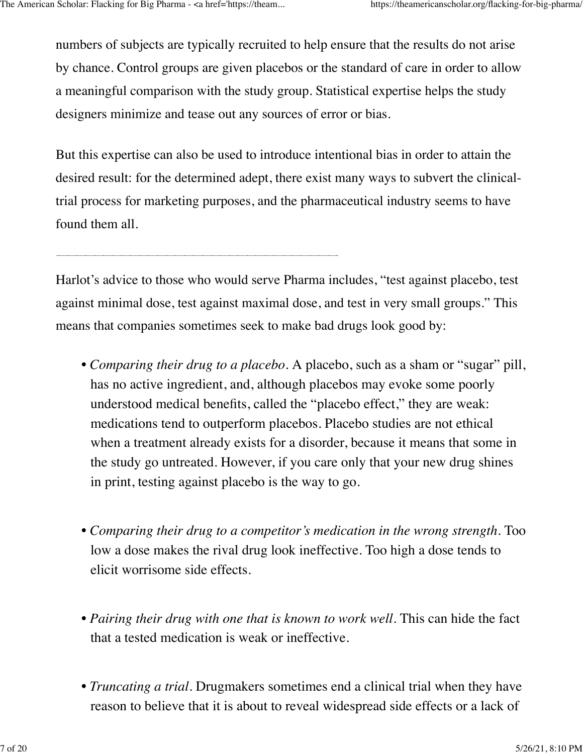numbers of subjects are typically recruited to help ensure that the results do not arise by chance. Control groups are given placebos or the standard of care in order to allow a meaningful comparison with the study group. Statistical expertise helps the study designers minimize and tease out any sources of error or bias.

But this expertise can also be used to introduce intentional bias in order to attain the desired result: for the determined adept, there exist many ways to subvert the clinicaltrial process for marketing purposes, and the pharmaceutical industry seems to have found them all.

Harlot's advice to those who would serve Pharma includes, "test against placebo, test against minimal dose, test against maximal dose, and test in very small groups." This means that companies sometimes seek to make bad drugs look good by:

- *Comparing their drug to a placebo*. A placebo, such as a sham or "sugar" pill, has no active ingredient, and, although placebos may evoke some poorly understood medical benefits, called the "placebo effect," they are weak: medications tend to outperform placebos. Placebo studies are not ethical when a treatment already exists for a disorder, because it means that some in the study go untreated. However, if you care only that your new drug shines in print, testing against placebo is the way to go.
- *Comparing their drug to a competitor's medication in the wrong strength*. Too low a dose makes the rival drug look ineffective. Too high a dose tends to elicit worrisome side effects.
- *Pairing their drug with one that is known to work well*. This can hide the fact that a tested medication is weak or ineffective.
- *Truncating a trial*. Drugmakers sometimes end a clinical trial when they have reason to believe that it is about to reveal widespread side effects or a lack of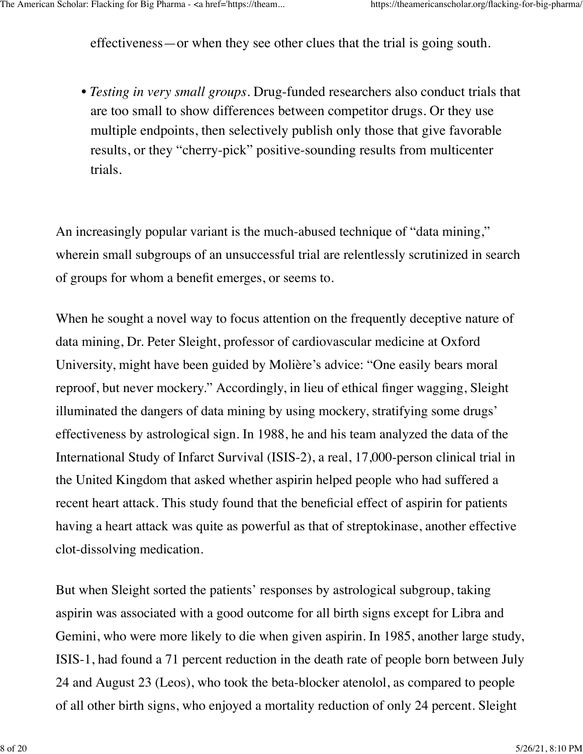effectiveness—or when they see other clues that the trial is going south.

• *Testing in very small groups*. Drug-funded researchers also conduct trials that are too small to show differences between competitor drugs. Or they use multiple endpoints, then selectively publish only those that give favorable results, or they "cherry-pick" positive-sounding results from multicenter trials.

An increasingly popular variant is the much-abused technique of "data mining," wherein small subgroups of an unsuccessful trial are relentlessly scrutinized in search of groups for whom a benefit emerges, or seems to.

When he sought a novel way to focus attention on the frequently deceptive nature of data mining, Dr. Peter Sleight, professor of cardiovascular medicine at Oxford University, might have been guided by Molière's advice: "One easily bears moral reproof, but never mockery." Accordingly, in lieu of ethical finger wagging, Sleight illuminated the dangers of data mining by using mockery, stratifying some drugs' effectiveness by astrological sign. In 1988, he and his team analyzed the data of the International Study of Infarct Survival (ISIS-2), a real, 17,000-person clinical trial in the United Kingdom that asked whether aspirin helped people who had suffered a recent heart attack. This study found that the beneficial effect of aspirin for patients having a heart attack was quite as powerful as that of streptokinase, another effective clot-dissolving medication.

But when Sleight sorted the patients' responses by astrological subgroup, taking aspirin was associated with a good outcome for all birth signs except for Libra and Gemini, who were more likely to die when given aspirin. In 1985, another large study, ISIS-1, had found a 71 percent reduction in the death rate of people born between July 24 and August 23 (Leos), who took the beta-blocker atenolol, as compared to people of all other birth signs, who enjoyed a mortality reduction of only 24 percent. Sleight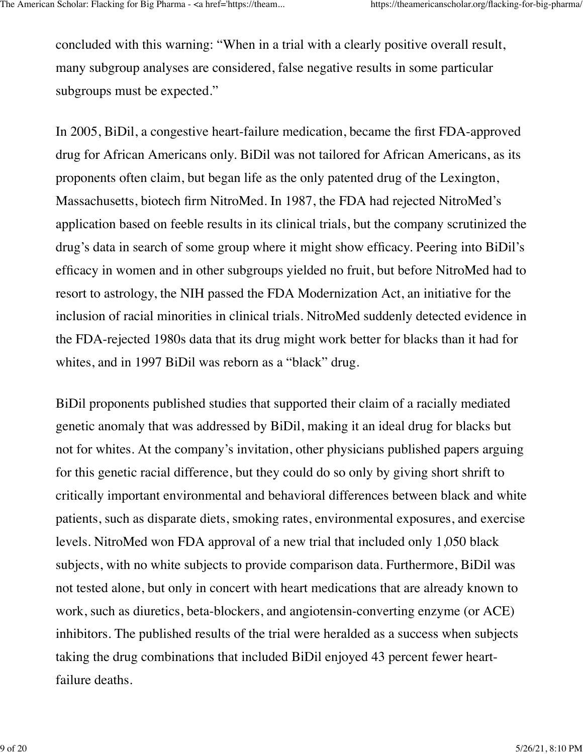concluded with this warning: "When in a trial with a clearly positive overall result, many subgroup analyses are considered, false negative results in some particular subgroups must be expected."

In 2005, BiDil, a congestive heart-failure medication, became the first FDA-approved drug for African Americans only. BiDil was not tailored for African Americans, as its proponents often claim, but began life as the only patented drug of the Lexington, Massachusetts, biotech firm NitroMed. In 1987, the FDA had rejected NitroMed's application based on feeble results in its clinical trials, but the company scrutinized the drug's data in search of some group where it might show efficacy. Peering into BiDil's efficacy in women and in other subgroups yielded no fruit, but before NitroMed had to resort to astrology, the NIH passed the FDA Modernization Act, an initiative for the inclusion of racial minorities in clinical trials. NitroMed suddenly detected evidence in the FDA-rejected 1980s data that its drug might work better for blacks than it had for whites, and in 1997 BiDil was reborn as a "black" drug.

BiDil proponents published studies that supported their claim of a racially mediated genetic anomaly that was addressed by BiDil, making it an ideal drug for blacks but not for whites. At the company's invitation, other physicians published papers arguing for this genetic racial difference, but they could do so only by giving short shrift to critically important environmental and behavioral differences between black and white patients, such as disparate diets, smoking rates, environmental exposures, and exercise levels. NitroMed won FDA approval of a new trial that included only 1,050 black subjects, with no white subjects to provide comparison data. Furthermore, BiDil was not tested alone, but only in concert with heart medications that are already known to work, such as diuretics, beta-blockers, and angiotensin-converting enzyme (or ACE) inhibitors. The published results of the trial were heralded as a success when subjects taking the drug combinations that included BiDil enjoyed 43 percent fewer heartfailure deaths.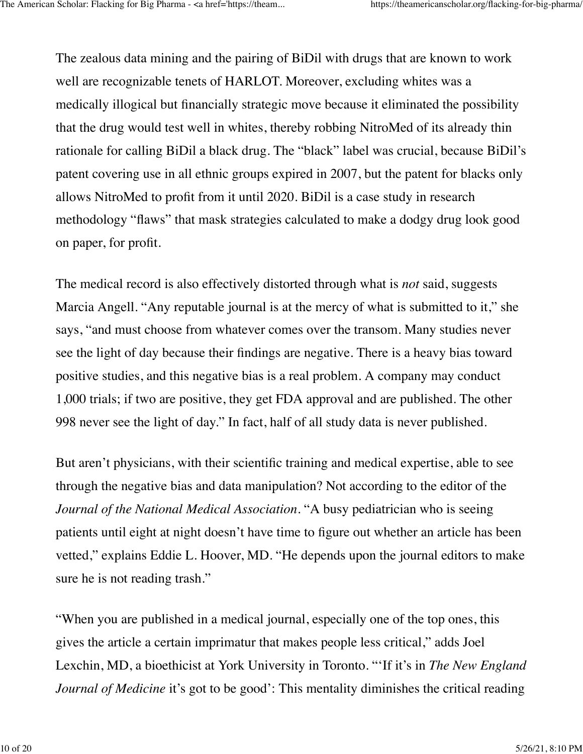The zealous data mining and the pairing of BiDil with drugs that are known to work well are recognizable tenets of HARLOT. Moreover, excluding whites was a medically illogical but financially strategic move because it eliminated the possibility that the drug would test well in whites, thereby robbing NitroMed of its already thin rationale for calling BiDil a black drug. The "black" label was crucial, because BiDil's patent covering use in all ethnic groups expired in 2007, but the patent for blacks only allows NitroMed to profit from it until 2020. BiDil is a case study in research methodology "flaws" that mask strategies calculated to make a dodgy drug look good on paper, for profit.

The medical record is also effectively distorted through what is *not* said, suggests Marcia Angell. "Any reputable journal is at the mercy of what is submitted to it," she says, "and must choose from whatever comes over the transom. Many studies never see the light of day because their findings are negative. There is a heavy bias toward positive studies, and this negative bias is a real problem. A company may conduct 1,000 trials; if two are positive, they get FDA approval and are published. The other 998 never see the light of day." In fact, half of all study data is never published.

But aren't physicians, with their scientific training and medical expertise, able to see through the negative bias and data manipulation? Not according to the editor of the *Journal of the National Medical Association*. "A busy pediatrician who is seeing patients until eight at night doesn't have time to figure out whether an article has been vetted," explains Eddie L. Hoover, MD. "He depends upon the journal editors to make sure he is not reading trash."

"When you are published in a medical journal, especially one of the top ones, this gives the article a certain imprimatur that makes people less critical," adds Joel Lexchin, MD, a bioethicist at York University in Toronto. "'If it's in *The New England Journal of Medicine* it's got to be good': This mentality diminishes the critical reading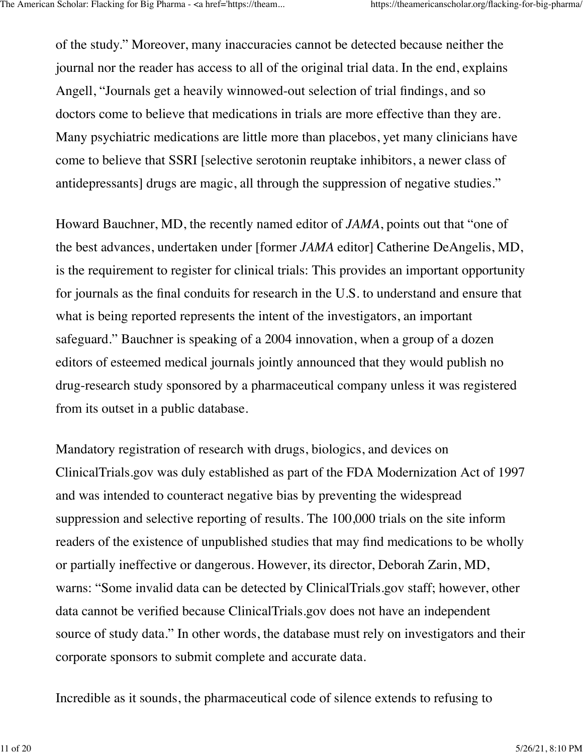of the study." Moreover, many inaccuracies cannot be detected because neither the journal nor the reader has access to all of the original trial data. In the end, explains Angell, "Journals get a heavily winnowed-out selection of trial findings, and so doctors come to believe that medications in trials are more effective than they are. Many psychiatric medications are little more than placebos, yet many clinicians have come to believe that SSRI [selective serotonin reuptake inhibitors, a newer class of antidepressants] drugs are magic, all through the suppression of negative studies."

Howard Bauchner, MD, the recently named editor of *JAMA*, points out that "one of the best advances, undertaken under [former *JAMA* editor] Catherine DeAngelis, MD, is the requirement to register for clinical trials: This provides an important opportunity for journals as the final conduits for research in the U.S. to understand and ensure that what is being reported represents the intent of the investigators, an important safeguard." Bauchner is speaking of a 2004 innovation, when a group of a dozen editors of esteemed medical journals jointly announced that they would publish no drug-research study sponsored by a pharmaceutical company unless it was registered from its outset in a public database.

Mandatory registration of research with drugs, biologics, and devices on ClinicalTrials.gov was duly established as part of the FDA Modernization Act of 1997 and was intended to counteract negative bias by preventing the widespread suppression and selective reporting of results. The 100,000 trials on the site inform readers of the existence of unpublished studies that may find medications to be wholly or partially ineffective or dangerous. However, its director, Deborah Zarin, MD, warns: "Some invalid data can be detected by ClinicalTrials.gov staff; however, other data cannot be verified because ClinicalTrials.gov does not have an independent source of study data." In other words, the database must rely on investigators and their corporate sponsors to submit complete and accurate data.

Incredible as it sounds, the pharmaceutical code of silence extends to refusing to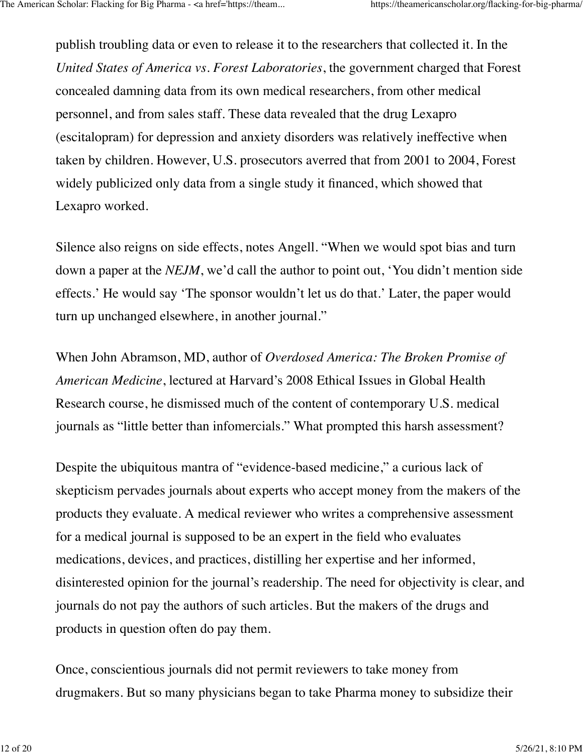publish troubling data or even to release it to the researchers that collected it. In the *United States of America vs. Forest Laboratories*, the government charged that Forest concealed damning data from its own medical researchers, from other medical personnel, and from sales staff. These data revealed that the drug Lexapro (escitalopram) for depression and anxiety disorders was relatively ineffective when taken by children. However, U.S. prosecutors averred that from 2001 to 2004, Forest widely publicized only data from a single study it financed, which showed that Lexapro worked.

Silence also reigns on side effects, notes Angell. "When we would spot bias and turn down a paper at the *NEJM*, we'd call the author to point out, 'You didn't mention side effects.' He would say 'The sponsor wouldn't let us do that.' Later, the paper would turn up unchanged elsewhere, in another journal."

When John Abramson, MD, author of *Overdosed America: The Broken Promise of American Medicine*, lectured at Harvard's 2008 Ethical Issues in Global Health Research course, he dismissed much of the content of contemporary U.S. medical journals as "little better than infomercials." What prompted this harsh assessment?

Despite the ubiquitous mantra of "evidence-based medicine," a curious lack of skepticism pervades journals about experts who accept money from the makers of the products they evaluate. A medical reviewer who writes a comprehensive assessment for a medical journal is supposed to be an expert in the field who evaluates medications, devices, and practices, distilling her expertise and her informed, disinterested opinion for the journal's readership. The need for objectivity is clear, and journals do not pay the authors of such articles. But the makers of the drugs and products in question often do pay them.

Once, conscientious journals did not permit reviewers to take money from drugmakers. But so many physicians began to take Pharma money to subsidize their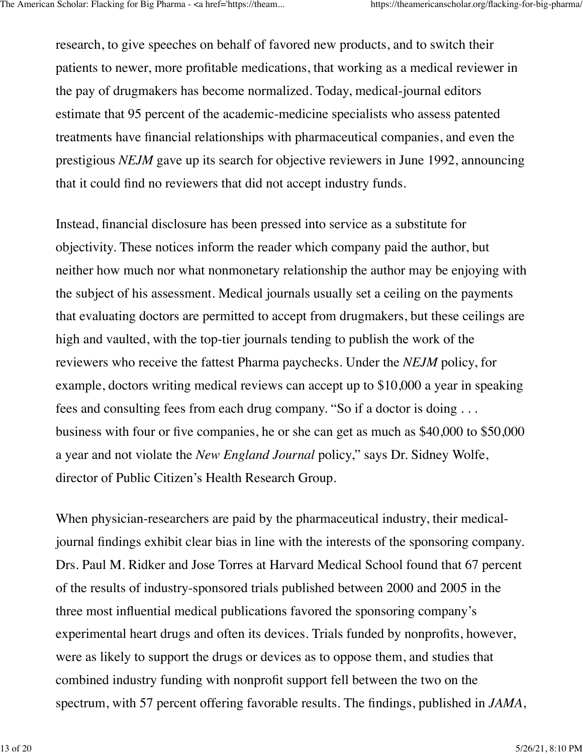research, to give speeches on behalf of favored new products, and to switch their patients to newer, more profitable medications, that working as a medical reviewer in the pay of drugmakers has become normalized. Today, medical-journal editors estimate that 95 percent of the academic-medicine specialists who assess patented treatments have financial relationships with pharmaceutical companies, and even the prestigious *NEJM* gave up its search for objective reviewers in June 1992, announcing that it could find no reviewers that did not accept industry funds.

Instead, financial disclosure has been pressed into service as a substitute for objectivity. These notices inform the reader which company paid the author, but neither how much nor what nonmonetary relationship the author may be enjoying with the subject of his assessment. Medical journals usually set a ceiling on the payments that evaluating doctors are permitted to accept from drugmakers, but these ceilings are high and vaulted, with the top-tier journals tending to publish the work of the reviewers who receive the fattest Pharma paychecks. Under the *NEJM* policy, for example, doctors writing medical reviews can accept up to \$10,000 a year in speaking fees and consulting fees from each drug company. "So if a doctor is doing . . . business with four or five companies, he or she can get as much as \$40,000 to \$50,000 a year and not violate the *New England Journal* policy," says Dr. Sidney Wolfe, director of Public Citizen's Health Research Group.

When physician-researchers are paid by the pharmaceutical industry, their medicaljournal findings exhibit clear bias in line with the interests of the sponsoring company. Drs. Paul M. Ridker and Jose Torres at Harvard Medical School found that 67 percent of the results of industry-sponsored trials published between 2000 and 2005 in the three most influential medical publications favored the sponsoring company's experimental heart drugs and often its devices. Trials funded by nonprofits, however, were as likely to support the drugs or devices as to oppose them, and studies that combined industry funding with nonprofit support fell between the two on the spectrum, with 57 percent offering favorable results. The findings, published in *JAMA*,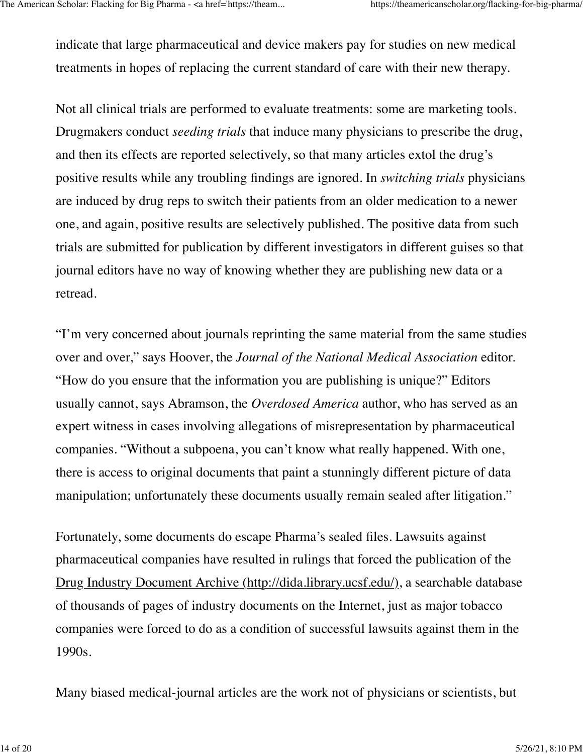indicate that large pharmaceutical and device makers pay for studies on new medical treatments in hopes of replacing the current standard of care with their new therapy.

Not all clinical trials are performed to evaluate treatments: some are marketing tools. Drugmakers conduct *seeding trials* that induce many physicians to prescribe the drug, and then its effects are reported selectively, so that many articles extol the drug's positive results while any troubling findings are ignored. In *switching trials* physicians are induced by drug reps to switch their patients from an older medication to a newer one, and again, positive results are selectively published. The positive data from such trials are submitted for publication by different investigators in different guises so that journal editors have no way of knowing whether they are publishing new data or a retread.

"I'm very concerned about journals reprinting the same material from the same studies over and over," says Hoover, the *Journal of the National Medical Association* editor. "How do you ensure that the information you are publishing is unique?" Editors usually cannot, says Abramson, the *Overdosed America* author, who has served as an expert witness in cases involving allegations of misrepresentation by pharmaceutical companies. "Without a subpoena, you can't know what really happened. With one, there is access to original documents that paint a stunningly different picture of data manipulation; unfortunately these documents usually remain sealed after litigation."

Fortunately, some documents do escape Pharma's sealed files. Lawsuits against pharmaceutical companies have resulted in rulings that forced the publication of the Drug Industry Document Archive (http://dida.library.ucsf.edu/), a searchable database of thousands of pages of industry documents on the Internet, just as major tobacco companies were forced to do as a condition of successful lawsuits against them in the 1990s.

Many biased medical-journal articles are the work not of physicians or scientists, but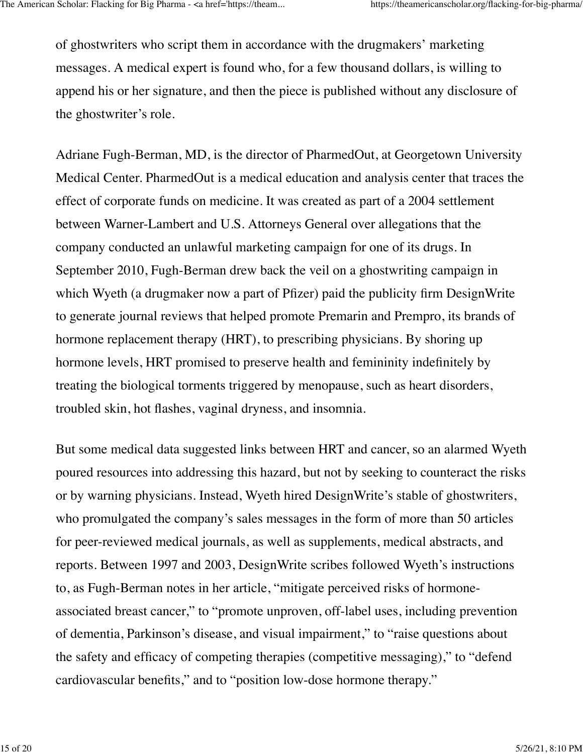of ghostwriters who script them in accordance with the drugmakers' marketing messages. A medical expert is found who, for a few thousand dollars, is willing to append his or her signature, and then the piece is published without any disclosure of the ghostwriter's role.

Adriane Fugh-Berman, MD, is the director of PharmedOut, at Georgetown University Medical Center. PharmedOut is a medical education and analysis center that traces the effect of corporate funds on medicine. It was created as part of a 2004 settlement between Warner-Lambert and U.S. Attorneys General over allegations that the company conducted an unlawful marketing campaign for one of its drugs. In September 2010, Fugh-Berman drew back the veil on a ghostwriting campaign in which Wyeth (a drugmaker now a part of Pfizer) paid the publicity firm DesignWrite to generate journal reviews that helped promote Premarin and Prempro, its brands of hormone replacement therapy (HRT), to prescribing physicians. By shoring up hormone levels, HRT promised to preserve health and femininity indefinitely by treating the biological torments triggered by menopause, such as heart disorders, troubled skin, hot flashes, vaginal dryness, and insomnia.

But some medical data suggested links between HRT and cancer, so an alarmed Wyeth poured resources into addressing this hazard, but not by seeking to counteract the risks or by warning physicians. Instead, Wyeth hired DesignWrite's stable of ghostwriters, who promulgated the company's sales messages in the form of more than 50 articles for peer-reviewed medical journals, as well as supplements, medical abstracts, and reports. Between 1997 and 2003, DesignWrite scribes followed Wyeth's instructions to, as Fugh-Berman notes in her article, "mitigate perceived risks of hormoneassociated breast cancer," to "promote unproven, off-label uses, including prevention of dementia, Parkinson's disease, and visual impairment," to "raise questions about the safety and efficacy of competing therapies (competitive messaging)," to "defend cardiovascular benefits," and to "position low-dose hormone therapy."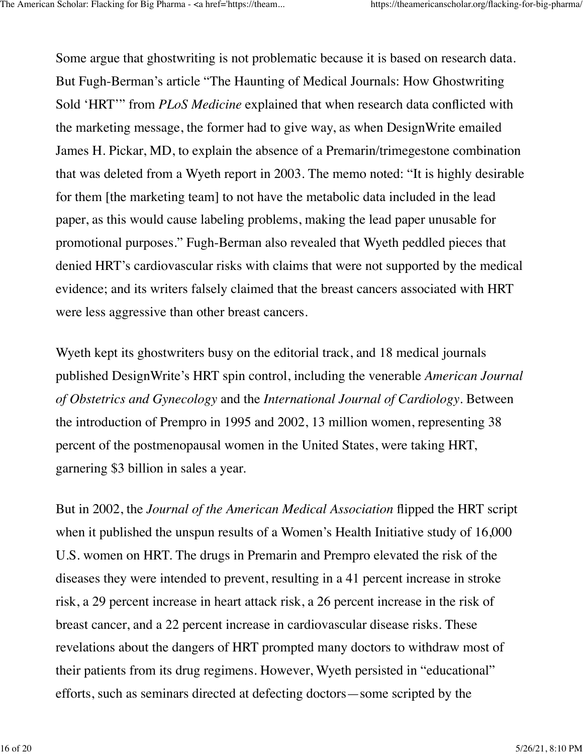Some argue that ghostwriting is not problematic because it is based on research data. But Fugh-Berman's article "The Haunting of Medical Journals: How Ghostwriting Sold 'HRT'" from *PLoS Medicine* explained that when research data conflicted with the marketing message, the former had to give way, as when DesignWrite emailed James H. Pickar, MD, to explain the absence of a Premarin/trimegestone combination that was deleted from a Wyeth report in 2003. The memo noted: "It is highly desirable for them [the marketing team] to not have the metabolic data included in the lead paper, as this would cause labeling problems, making the lead paper unusable for promotional purposes." Fugh-Berman also revealed that Wyeth peddled pieces that denied HRT's cardiovascular risks with claims that were not supported by the medical evidence; and its writers falsely claimed that the breast cancers associated with HRT were less aggressive than other breast cancers.

Wyeth kept its ghostwriters busy on the editorial track, and 18 medical journals published DesignWrite's HRT spin control, including the venerable *American Journal of Obstetrics and Gynecology* and the *International Journal of Cardiology*. Between the introduction of Prempro in 1995 and 2002, 13 million women, representing 38 percent of the postmenopausal women in the United States, were taking HRT, garnering \$3 billion in sales a year.

But in 2002, the *Journal of the American Medical Association* flipped the HRT script when it published the unspun results of a Women's Health Initiative study of 16,000 U.S. women on HRT. The drugs in Premarin and Prempro elevated the risk of the diseases they were intended to prevent, resulting in a 41 percent increase in stroke risk, a 29 percent increase in heart attack risk, a 26 percent increase in the risk of breast cancer, and a 22 percent increase in cardiovascular disease risks. These revelations about the dangers of HRT prompted many doctors to withdraw most of their patients from its drug regimens. However, Wyeth persisted in "educational" efforts, such as seminars directed at defecting doctors—some scripted by the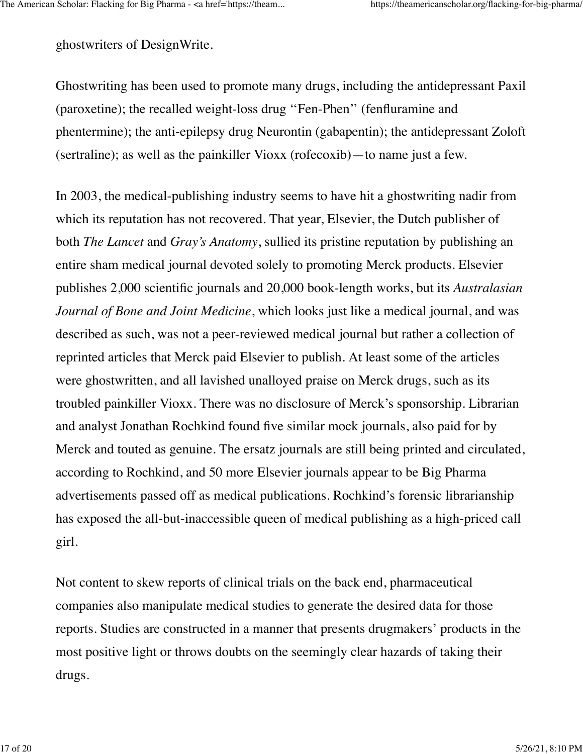ghostwriters of DesignWrite.

Ghostwriting has been used to promote many drugs, including the antidepressant Paxil (paroxetine); the recalled weight-loss drug ''Fen-Phen'' (fenfluramine and phentermine); the anti-epilepsy drug Neurontin (gabapentin); the antidepressant Zoloft (sertraline); as well as the painkiller Vioxx (rofecoxib)—to name just a few.

In 2003, the medical-publishing industry seems to have hit a ghostwriting nadir from which its reputation has not recovered. That year, Elsevier, the Dutch publisher of both *The Lancet* and *Gray's Anatomy*, sullied its pristine reputation by publishing an entire sham medical journal devoted solely to promoting Merck products. Elsevier publishes 2,000 scientific journals and 20,000 book-length works, but its *Australasian Journal of Bone and Joint Medicine*, which looks just like a medical journal, and was described as such, was not a peer-reviewed medical journal but rather a collection of reprinted articles that Merck paid Elsevier to publish. At least some of the articles were ghostwritten, and all lavished unalloyed praise on Merck drugs, such as its troubled painkiller Vioxx. There was no disclosure of Merck's sponsorship. Librarian and analyst Jonathan Rochkind found five similar mock journals, also paid for by Merck and touted as genuine. The ersatz journals are still being printed and circulated, according to Rochkind, and 50 more Elsevier journals appear to be Big Pharma advertisements passed off as medical publications. Rochkind's forensic librarianship has exposed the all-but-inaccessible queen of medical publishing as a high-priced call girl.

Not content to skew reports of clinical trials on the back end, pharmaceutical companies also manipulate medical studies to generate the desired data for those reports. Studies are constructed in a manner that presents drugmakers' products in the most positive light or throws doubts on the seemingly clear hazards of taking their drugs.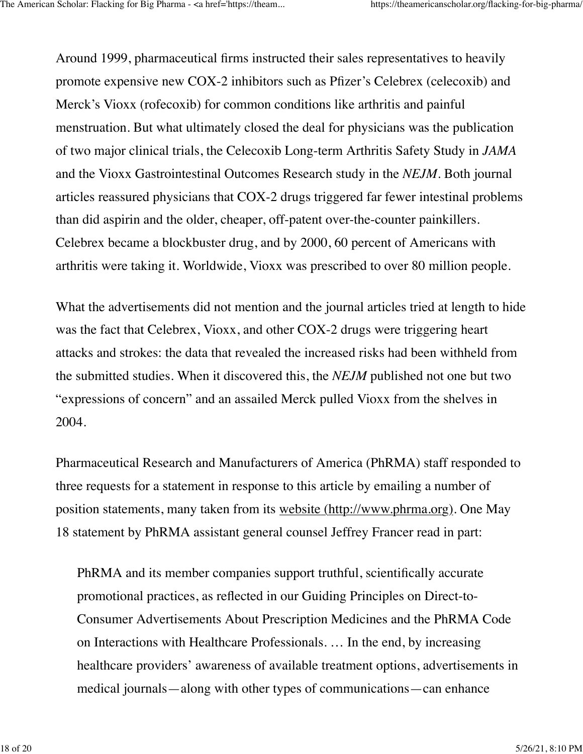Around 1999, pharmaceutical firms instructed their sales representatives to heavily promote expensive new COX-2 inhibitors such as Pfizer's Celebrex (celecoxib) and Merck's Vioxx (rofecoxib) for common conditions like arthritis and painful menstruation. But what ultimately closed the deal for physicians was the publication of two major clinical trials, the Celecoxib Long-term Arthritis Safety Study in *JAMA* and the Vioxx Gastrointestinal Outcomes Research study in the *NEJM*. Both journal articles reassured physicians that COX-2 drugs triggered far fewer intestinal problems than did aspirin and the older, cheaper, off-patent over-the-counter painkillers. Celebrex became a blockbuster drug, and by 2000, 60 percent of Americans with arthritis were taking it. Worldwide, Vioxx was prescribed to over 80 million people.

What the advertisements did not mention and the journal articles tried at length to hide was the fact that Celebrex, Vioxx, and other COX-2 drugs were triggering heart attacks and strokes: the data that revealed the increased risks had been withheld from the submitted studies. When it discovered this, the *NEJM* published not one but two "expressions of concern" and an assailed Merck pulled Vioxx from the shelves in 2004.

Pharmaceutical Research and Manufacturers of America (PhRMA) staff responded to three requests for a statement in response to this article by emailing a number of position statements, many taken from its website (http://www.phrma.org). One May 18 statement by PhRMA assistant general counsel Jeffrey Francer read in part:

PhRMA and its member companies support truthful, scientifically accurate promotional practices, as reflected in our Guiding Principles on Direct-to-Consumer Advertisements About Prescription Medicines and the PhRMA Code on Interactions with Healthcare Professionals. … In the end, by increasing healthcare providers' awareness of available treatment options, advertisements in medical journals—along with other types of communications—can enhance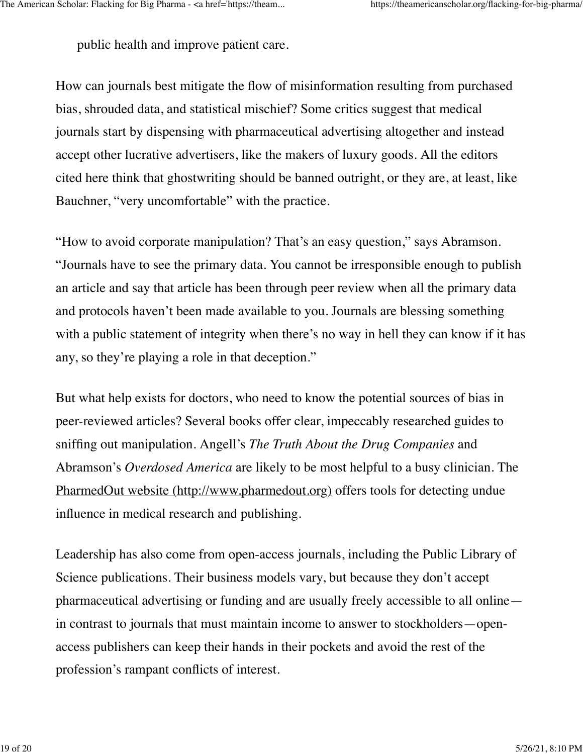public health and improve patient care.

How can journals best mitigate the flow of misinformation resulting from purchased bias, shrouded data, and statistical mischief? Some critics suggest that medical journals start by dispensing with pharmaceutical advertising altogether and instead accept other lucrative advertisers, like the makers of luxury goods. All the editors cited here think that ghostwriting should be banned outright, or they are, at least, like Bauchner, "very uncomfortable" with the practice.

"How to avoid corporate manipulation? That's an easy question," says Abramson. "Journals have to see the primary data. You cannot be irresponsible enough to publish an article and say that article has been through peer review when all the primary data and protocols haven't been made available to you. Journals are blessing something with a public statement of integrity when there's no way in hell they can know if it has any, so they're playing a role in that deception."

But what help exists for doctors, who need to know the potential sources of bias in peer-reviewed articles? Several books offer clear, impeccably researched guides to sniffing out manipulation. Angell's *The Truth About the Drug Companies* and Abramson's *Overdosed America* are likely to be most helpful to a busy clinician. The PharmedOut website (http://www.pharmedout.org) offers tools for detecting undue influence in medical research and publishing.

Leadership has also come from open-access journals, including the Public Library of Science publications. Their business models vary, but because they don't accept pharmaceutical advertising or funding and are usually freely accessible to all online in contrast to journals that must maintain income to answer to stockholders—openaccess publishers can keep their hands in their pockets and avoid the rest of the profession's rampant conflicts of interest.